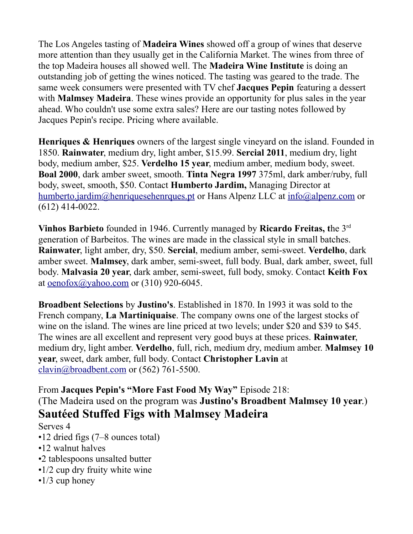The Los Angeles tasting of **Madeira Wines** showed off a group of wines that deserve more attention than they usually get in the California Market. The wines from three of the top Madeira houses all showed well. The **Madeira Wine Institute** is doing an outstanding job of getting the wines noticed. The tasting was geared to the trade. The same week consumers were presented with TV chef **Jacques Pepin** featuring a dessert with **Malmsey Madeira**. These wines provide an opportunity for plus sales in the year ahead. Who couldn't use some extra sales? Here are our tasting notes followed by Jacques Pepin's recipe. Pricing where available.

**Henriques & Henriques** owners of the largest single vineyard on the island. Founded in 1850. **Rainwater**, medium dry, light amber, \$15.99. **Sercial 2011**, medium dry, light body, medium amber, \$25. **Verdelho 15 year**, medium amber, medium body, sweet. **Boal 2000**, dark amber sweet, smooth. **Tinta Negra 1997** 375ml, dark amber/ruby, full body, sweet, smooth, \$50. Contact **Humberto Jardim,** Managing Director at [humberto.jardim@henriquesehenrques.pt](mailto:humberto.jardim@henriquesehenrques.pt) or Hans Alpenz LLC at [info@alpenz.com](mailto:info@alpenz.com) or (612) 414-0022.

**Vinhos Barbieto** founded in 1946. Currently managed by **Ricardo Freitas, t**he 3rd generation of Barbeitos. The wines are made in the classical style in small batches. **Rainwater**, light amber, dry, \$50. **Sercial**, medium amber, semi-sweet. **Verdelho**, dark amber sweet. **Malmsey**, dark amber, semi-sweet, full body. Bual, dark amber, sweet, full body. **Malvasia 20 year**, dark amber, semi-sweet, full body, smoky. Contact **Keith Fox** at [oenofox@yahoo.com](mailto:oenofox@yahoo.com) or (310) 920-6045.

**Broadbent Selections** by **Justino's**. Established in 1870. In 1993 it was sold to the French company, **La Martiniquaise**. The company owns one of the largest stocks of wine on the island. The wines are line priced at two levels; under \$20 and \$39 to \$45. The wines are all excellent and represent very good buys at these prices. **Rainwater**, medium dry, light amber. **Verdelho**, full, rich, medium dry, medium amber. **Malmsey 10 year**, sweet, dark amber, full body. Contact **Christopher Lavin** at [clavin@broadbent.com](mailto:clavin@broadbent.com) or (562) 761-5500.

From **Jacques Pepin's "More Fast Food My Way"** Episode 218: (The Madeira used on the program was **Justino's Broadbent Malmsey 10 year**.) **Sautéed Stuffed Figs with Malmsey Madeira** 

## Serves 4

- •12 dried figs (7–8 ounces total)
- •12 walnut halves
- •2 tablespoons unsalted butter
- •1/2 cup dry fruity white wine
- •1/3 cup honey